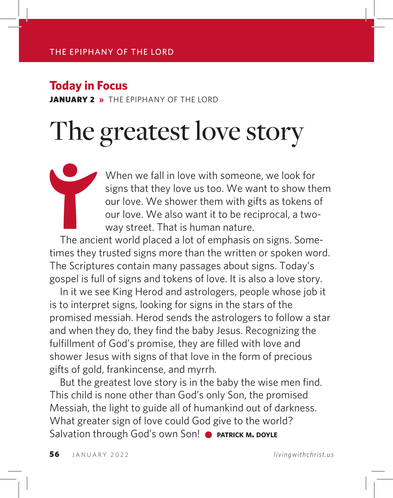### **Today in Focus**

**JANUARY 2 »** THE FPIPHANY OF THE LORD

# The greatest love story

When we fall in love with someone, we look for signs that they love us too. We want to show them our love. We shower them with gifts as tokens of our love. We also want it to be reciprocal, a twoway street. That is human nature.

The ancient world placed a lot of emphasis on signs. Sometimes they trusted signs more than the written or spoken word. The Scriptures contain many passages about signs. Today's gospel is full of signs and tokens of love. It is also a love story.

In it we see King Herod and astrologers, people whose job it is to interpret signs, looking for signs in the stars of the promised messiah. Herod sends the astrologers to follow a star and when they do, they find the baby Jesus. Recognizing the fulfillment of God's promise, they are filled with love and shower Jesus with signs of that love in the form of precious gifts of gold, frankincense, and myrrh.

But the greatest love story is in the baby the wise men find. This child is none other than God's only Son, the promised Messiah, the light to guide all of humankind out of darkness. What greater sign of love could God give to the world? Salvation through God's own Son! **• PATRICK M. DOYLE**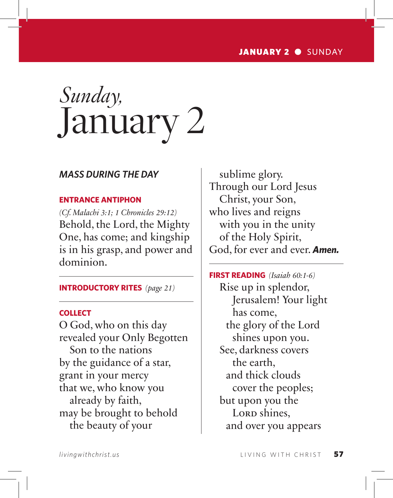# *Sunday,* January 2

#### *MASS DURING THE DAY*

#### **ENTRANCE ANTIPHON**

*(Cf. Malachi 3:1; 1 Chronicles 29:12)* Behold, the Lord, the Mighty One, has come; and kingship is in his grasp, and power and dominion.

**INTRODUCTORY RITES** *(page 21)*

#### **COLLECT**

O God, who on this day revealed your Only Begotten Son to the nations by the guidance of a star, grant in your mercy that we, who know you already by faith, may be brought to behold the beauty of your

sublime glory. Through our Lord Jesus Christ, your Son, who lives and reigns with you in the unity of the Holy Spirit, God, for ever and ever. *Amen.*

**FIRST READING** *(Isaiah 60:1-6)* Rise up in splendor, Jerusalem! Your light has come, the glory of the Lord shines upon you. See, darkness covers the earth, and thick clouds cover the peoples; but upon you the Lorp shines, and over you appears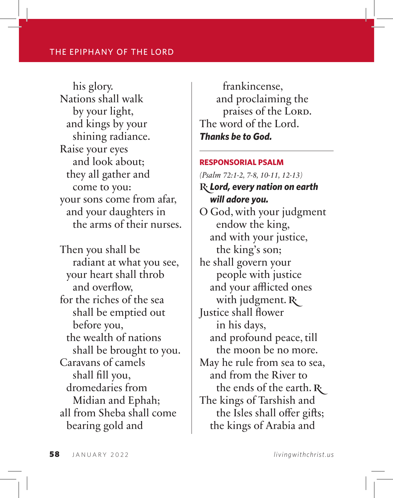his glory. Nations shall walk by your light, and kings by your shining radiance. Raise your eyes and look about; they all gather and come to you: your sons come from afar, and your daughters in the arms of their nurses.

Then you shall be radiant at what you see, your heart shall throb and overflow, for the riches of the sea shall be emptied out before you, the wealth of nations shall be brought to you. Caravans of camels shall fill you, dromedaries from Midian and Ephah; all from Sheba shall come bearing gold and

frankincense, and proclaiming the praises of the Lord. The word of the Lord. *Thanks be to God.*

#### **RESPONSORIAL PSALM**

*(Psalm 72:1-2, 7-8, 10-11, 12-13)* **R**: Lord, every nation on earth *will adore you.* O God, with your judgment endow the king, and with your justice, the king's son; he shall govern your people with justice and your afflicted ones with judgment.  $\mathbf{R}$ Justice shall flower in his days, and profound peace, till the moon be no more. May he rule from sea to sea, and from the River to the ends of the earth.  $\mathbf{R}^{\cdot}$ The kings of Tarshish and the Isles shall offer gifts; the kings of Arabia and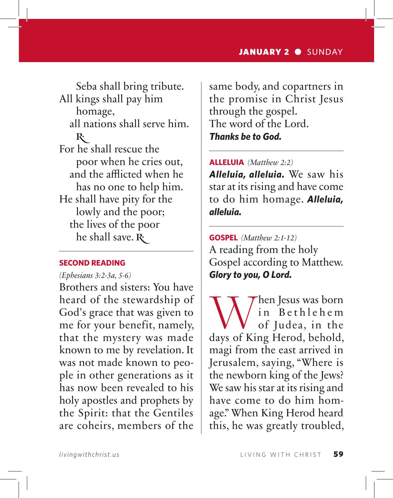Seba shall bring tribute. All kings shall pay him

homage, all nations shall serve him.  $\mathbb{R}^4$ For he shall rescue the poor when he cries out, and the afflicted when he has no one to help him. He shall have pity for the lowly and the poor; the lives of the poor he shall save.  $R_1$ 

#### **SECOND READING**

*(Ephesians 3:2-3a, 5-6)*

Brothers and sisters: You have heard of the stewardship of God's grace that was given to me for your benefit, namely, that the mystery was made known to me by revelation. It was not made known to people in other generations as it has now been revealed to his holy apostles and prophets by the Spirit: that the Gentiles are coheirs, members of the

same body, and copartners in the promise in Christ Jesus through the gospel. The word of the Lord. *Thanks be to God.*

**ALLELUIA** *(Matthew 2:2)*

*Alleluia, alleluia.* We saw his star at its rising and have come to do him homage. *Alleluia, alleluia.*

**GOSPEL** *(Matthew 2:1-12)* A reading from the holy Gospel according to Matthew. *Glory to you, O Lord.*

When Jesus was born<br>
of Judea, in the<br>
days of King Herod, behold, in Bethlehem of Judea, in the magi from the east arrived in Jerusalem, saying, "Where is the newborn king of the Jews? We saw his star at its rising and have come to do him homage." When King Herod heard this, he was greatly troubled,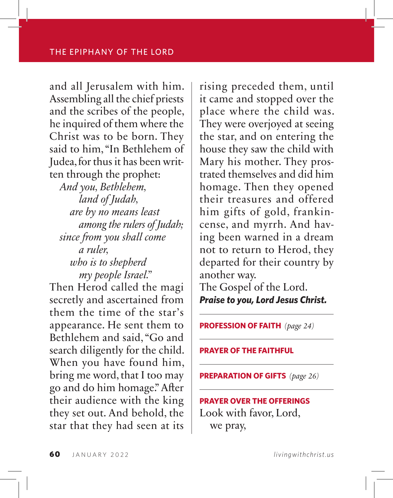and all Jerusalem with him. Assembling all the chief priests and the scribes of the people, he inquired of them where the Christ was to be born. They said to him, "In Bethlehem of Judea, for thus it has been written through the prophet:

*And you, Bethlehem, land of Judah, are by no means least among the rulers of Judah; since from you shall come a ruler, who is to shepherd my people Israel."*

Then Herod called the magi secretly and ascertained from them the time of the star's appearance. He sent them to Bethlehem and said, "Go and search diligently for the child. When you have found him, bring me word, that I too may go and do him homage." After their audience with the king they set out. And behold, the star that they had seen at its rising preceded them, until it came and stopped over the place where the child was. They were overjoyed at seeing the star, and on entering the house they saw the child with Mary his mother. They prostrated themselves and did him homage. Then they opened their treasures and offered him gifts of gold, frankincense, and myrrh. And having been warned in a dream not to return to Herod, they departed for their country by another way.

The Gospel of the Lord. *Praise to you, Lord Jesus Christ.*

**PROFESSION OF FAITH** *(page 24)*

**PRAYER OF THE FAITHFUL**

**PREPARATION OF GIFTS** *(page 26)*

### **PRAYER OVER THE OFFERINGS** Look with favor, Lord, we pray,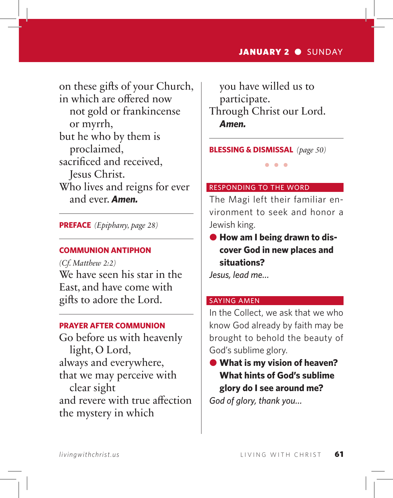on these gifts of your Church, in which are offered now not gold or frankincense or myrrh, but he who by them is proclaimed, sacrificed and received, Jesus Christ. Who lives and reigns for ever and ever. *Amen.*

**PREFACE** *(Epiphany, page 28)*

#### **COMMUNION ANTIPHON**

*(Cf. Matthew 2:2)* We have seen his star in the East, and have come with gifts to adore the Lord.

#### **PRAYER AFTER COMMUNION**

Go before us with heavenly light, O Lord, always and everywhere, that we may perceive with clear sight and revere with true affection the mystery in which

you have willed us to participate. Through Christ our Lord. *Amen.*

**BLESSING & DISMISSAL** *(page 50)*

#### RESPONDING TO THE WORD

The Magi left their familiar environment to seek and honor a Jewish king.

 $\bullet$   $\bullet$   $\bullet$ 

 $\bullet$  **How am I being drawn to discover God in new places and situations?**

*Jesus, lead me…*

#### SAYING AMEN

In the Collect, we ask that we who know God already by faith may be brought to behold the beauty of God's sublime glory.

**● What is my vision of heaven? What hints of God's sublime glory do I see around me?** *God of glory, thank you…*